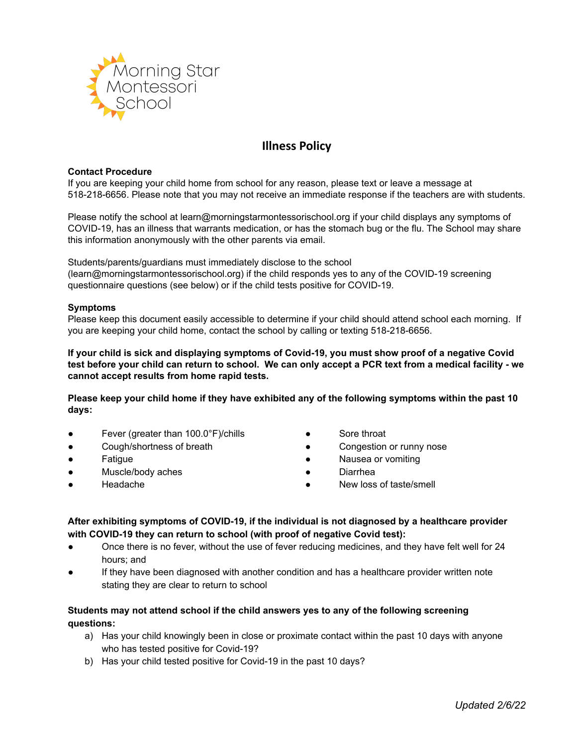

# **Illness Policy**

#### **Contact Procedure**

If you are keeping your child home from school for any reason, please text or leave a message at 518-218-6656. Please note that you may not receive an immediate response if the teachers are with students.

Please notify the school at learn@morningstarmontessorischool.org if your child displays any symptoms of COVID-19, has an illness that warrants medication, or has the stomach bug or the flu. The School may share this information anonymously with the other parents via email.

Students/parents/guardians must immediately disclose to the school (learn@morningstarmontessorischool.org) if the child responds yes to any of the COVID-19 screening questionnaire questions (see below) or if the child tests positive for COVID-19.

#### **Symptoms**

Please keep this document easily accessible to determine if your child should attend school each morning. If you are keeping your child home, contact the school by calling or texting 518-218-6656.

**If your child is sick and displaying symptoms of Covid-19, you must show proof of a negative Covid** test before your child can return to school. We can only accept a PCR text from a medical facility - we **cannot accept results from home rapid tests.**

Please keep your child home if they have exhibited any of the following symptoms within the past 10 **days:**

- Fever (greater than 100.0°F)/chills
- Cough/shortness of breath
- Fatigue
- Muscle/body aches
- **Headache**
- Sore throat
- Congestion or runny nose
- Nausea or vomiting
- Diarrhea
- New loss of taste/smell
- **After exhibiting symptoms of COVID-19, if the individual is not diagnosed by a healthcare provider with COVID-19 they can return to school (with proof of negative Covid test):**
- Once there is no fever, without the use of fever reducing medicines, and they have felt well for 24 hours; and
- If they have been diagnosed with another condition and has a healthcare provider written note stating they are clear to return to school

# **Students may not attend school if the child answers yes to any of the following screening questions:**

- a) Has your child knowingly been in close or proximate contact within the past 10 days with anyone who has tested positive for Covid-19?
- b) Has your child tested positive for Covid-19 in the past 10 days?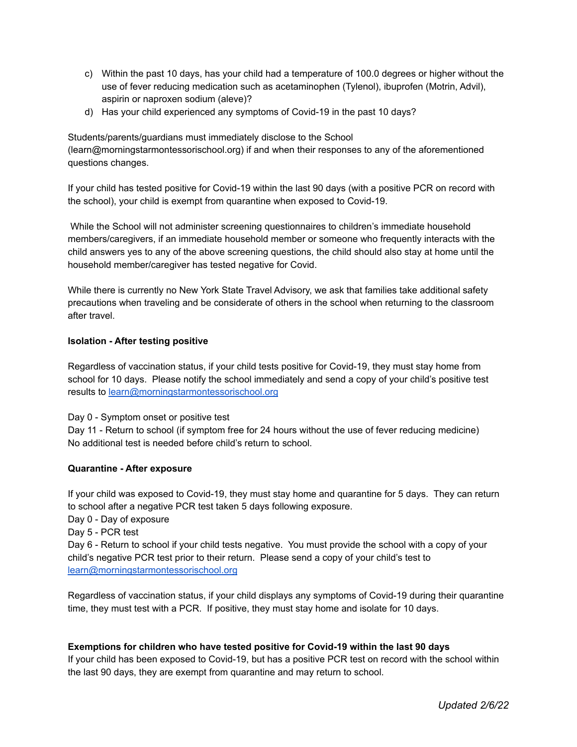- c) Within the past 10 days, has your child had a temperature of 100.0 degrees or higher without the use of fever reducing medication such as acetaminophen (Tylenol), ibuprofen (Motrin, Advil), aspirin or naproxen sodium (aleve)?
- d) Has your child experienced any symptoms of Covid-19 in the past 10 days?

Students/parents/guardians must immediately disclose to the School (learn@morningstarmontessorischool.org) if and when their responses to any of the aforementioned questions changes.

If your child has tested positive for Covid-19 within the last 90 days (with a positive PCR on record with the school), your child is exempt from quarantine when exposed to Covid-19.

While the School will not administer screening questionnaires to children's immediate household members/caregivers, if an immediate household member or someone who frequently interacts with the child answers yes to any of the above screening questions, the child should also stay at home until the household member/caregiver has tested negative for Covid.

While there is currently no New York State Travel Advisory, we ask that families take additional safety precautions when traveling and be considerate of others in the school when returning to the classroom after travel.

### **Isolation - After testing positive**

Regardless of vaccination status, if your child tests positive for Covid-19, they must stay home from school for 10 days. Please notify the school immediately and send a copy of your child's positive test results to [learn@morningstarmontessorischool.org](mailto:learn@morningstarmontessorischool.org)

Day 0 - Symptom onset or positive test

Day 11 - Return to school (if symptom free for 24 hours without the use of fever reducing medicine) No additional test is needed before child's return to school.

### **Quarantine - After exposure**

If your child was exposed to Covid-19, they must stay home and quarantine for 5 days. They can return to school after a negative PCR test taken 5 days following exposure.

Day 0 - Day of exposure

Day 5 - PCR test

Day 6 - Return to school if your child tests negative. You must provide the school with a copy of your child's negative PCR test prior to their return. Please send a copy of your child's test to [learn@morningstarmontessorischool.org](mailto:learn@morningstarmontessorischool.org)

Regardless of vaccination status, if your child displays any symptoms of Covid-19 during their quarantine time, they must test with a PCR. If positive, they must stay home and isolate for 10 days.

### **Exemptions for children who have tested positive for Covid-19 within the last 90 days**

If your child has been exposed to Covid-19, but has a positive PCR test on record with the school within the last 90 days, they are exempt from quarantine and may return to school.